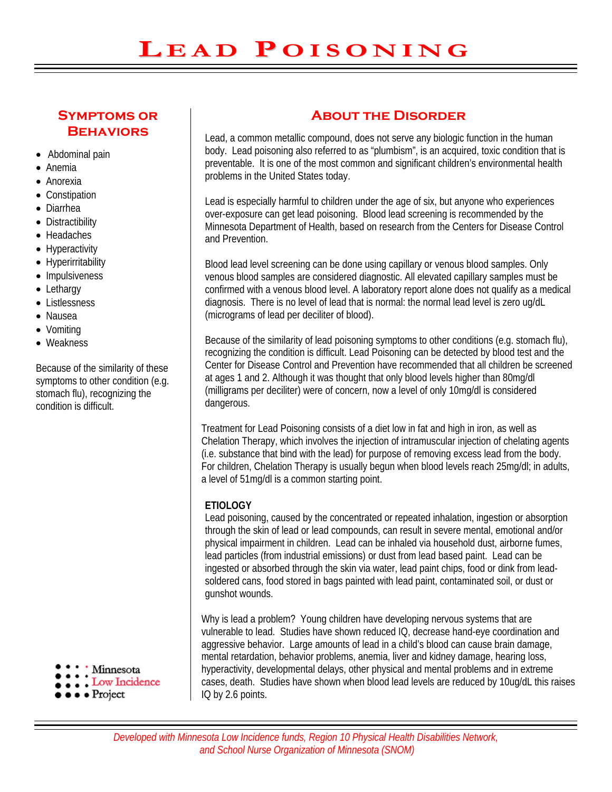## **Symptoms or Behaviors**

- Abdominal pain
- Anemia
- Anorexia
- Constipation
- Diarrhea
- Distractibility
- Headaches
- Hyperactivity
- Hyperirritability
- Impulsiveness
- Lethargy
- Listlessness
- Nausea
- Vomiting
- Weakness

Because of the similarity of these symptoms to other condition (e.g. stomach flu), recognizing the condition is difficult.

- Minnesota
- Low Incidence
- $\bullet \bullet \bullet \text{ Project}$

# **About the Disorder**

Lead, a common metallic compound, does not serve any biologic function in the human body. Lead poisoning also referred to as "plumbism", is an acquired, toxic condition that is preventable. It is one of the most common and significant children's environmental health problems in the United States today.

Lead is especially harmful to children under the age of six, but anyone who experiences over-exposure can get lead poisoning. Blood lead screening is recommended by the Minnesota Department of Health, based on research from the Centers for Disease Control and Prevention.

Blood lead level screening can be done using capillary or venous blood samples. Only venous blood samples are considered diagnostic. All elevated capillary samples must be confirmed with a venous blood level. A laboratory report alone does not qualify as a medical diagnosis. There is no level of lead that is normal: the normal lead level is zero ug/dL (micrograms of lead per deciliter of blood).

Because of the similarity of lead poisoning symptoms to other conditions (e.g. stomach flu), recognizing the condition is difficult. Lead Poisoning can be detected by blood test and the Center for Disease Control and Prevention have recommended that all children be screened at ages 1 and 2. Although it was thought that only blood levels higher than 80mg/dl (milligrams per deciliter) were of concern, now a level of only 10mg/dl is considered dangerous.

Treatment for Lead Poisoning consists of a diet low in fat and high in iron, as well as Chelation Therapy, which involves the injection of intramuscular injection of chelating agents (i.e. substance that bind with the lead) for purpose of removing excess lead from the body. For children, Chelation Therapy is usually begun when blood levels reach 25mg/dl; in adults, a level of 51mg/dl is a common starting point.

#### **ETIOLOGY**

Lead poisoning, caused by the concentrated or repeated inhalation, ingestion or absorption through the skin of lead or lead compounds, can result in severe mental, emotional and/or physical impairment in children. Lead can be inhaled via household dust, airborne fumes, lead particles (from industrial emissions) or dust from lead based paint. Lead can be ingested or absorbed through the skin via water, lead paint chips, food or dink from leadsoldered cans, food stored in bags painted with lead paint, contaminated soil, or dust or gunshot wounds.

Why is lead a problem? Young children have developing nervous systems that are vulnerable to lead. Studies have shown reduced IQ, decrease hand-eye coordination and aggressive behavior. Large amounts of lead in a child's blood can cause brain damage, mental retardation, behavior problems, anemia, liver and kidney damage, hearing loss, hyperactivity, developmental delays, other physical and mental problems and in extreme cases, death. Studies have shown when blood lead levels are reduced by 10ug/dL this raises IQ by 2.6 points.